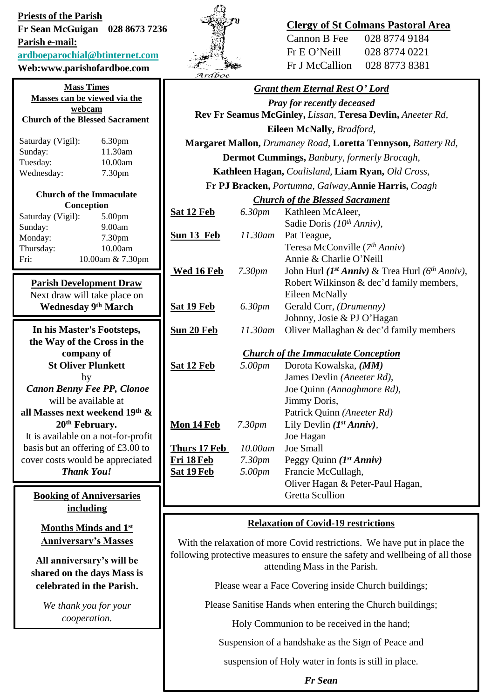**Priests of the Parish Fr Sean McGuigan 028 8673 7236 Parish e-mail: [ardboeparochial@btinternet.com](mailto:ardboeparochial@btinternet.com) Web:www.parishofardboe.com**

**Mass Times**

| <b>Mass Times</b>                      |                    |  |  |
|----------------------------------------|--------------------|--|--|
| Masses can be viewed via the           |                    |  |  |
| webcam                                 |                    |  |  |
| <b>Church of the Blessed Sacrament</b> |                    |  |  |
|                                        |                    |  |  |
| Saturday (Vigil):                      | 6.30pm             |  |  |
| Sunday:                                | 11.30am            |  |  |
| Tuesday:                               | 10.00am            |  |  |
| Wednesday:                             | 7.30 <sub>pm</sub> |  |  |
|                                        |                    |  |  |
| Church of the Immaculate               |                    |  |  |
| Conception                             |                    |  |  |
| Saturday (Vigil):                      | 5.00 <sub>pm</sub> |  |  |
| Sunday:                                | 9.00am             |  |  |
| Monday:                                | 7.30pm             |  |  |
| Thursday:                              | 10.00am            |  |  |
| Fri:                                   | 10.00am & 7.30pm   |  |  |
|                                        |                    |  |  |
| <b>Parish Development Draw</b>         |                    |  |  |

Next draw will take place on **Wednesday 9 th March** 

**In his Master's Footsteps, the Way of the Cross in the company of St Oliver Plunkett** by *Canon Benny Fee PP, Clonoe* will be available at

**all Masses next weekend 19th & 20th February.** It is available on a not-for-profit

basis but an offering of £3.00 to cover costs would be appreciated *Thank You!*

**Booking of Anniversaries including** 

**Months Minds and 1st Anniversary's Masses**

**All anniversary's will be shared on the days Mass is celebrated in the Parish.** 

> *We thank you for your cooperation.*



## **Clergy of St Colmans Pastoral Area**

Cannon B Fee 028 8774 9184 Fr E O'Neill 028 8774 0221 Fr J McCallion 028 8773 8381

| Ardboe                                                        |                    |                                                            |
|---------------------------------------------------------------|--------------------|------------------------------------------------------------|
|                                                               |                    | Grant them Eternal Rest O'Lord                             |
| <b>Pray for recently deceased</b>                             |                    |                                                            |
| Rev Fr Seamus McGinley, Lissan, Teresa Devlin, Aneeter Rd,    |                    |                                                            |
| Eileen McNally, Bradford,                                     |                    |                                                            |
| Margaret Mallon, Drumaney Road, Loretta Tennyson, Battery Rd, |                    |                                                            |
| <b>Dermot Cummings, Banbury, formerly Brocagh,</b>            |                    |                                                            |
| Kathleen Hagan, Coalisland, Liam Ryan, Old Cross,             |                    |                                                            |
| Fr PJ Bracken, Portumna, Galway, Annie Harris, Coagh          |                    |                                                            |
| <b>Church of the Blessed Sacrament</b>                        |                    |                                                            |
| <u>Sat 12 Feb</u>                                             | 6.30pm             | Kathleen McAleer,                                          |
|                                                               |                    | Sadie Doris (10th Anniv),                                  |
| <u>Sun 13 Feb</u>                                             | 11.30am            | Pat Teague,                                                |
|                                                               |                    | Teresa McConville (7th Anniv)                              |
|                                                               |                    | Annie & Charlie O'Neill                                    |
| <b>Wed 16 Feb</b>                                             | 7.30 <sub>pm</sub> | John Hurl ( $I^{st}$ Anniv) & Trea Hurl ( $6^{th}$ Anniv), |
|                                                               |                    | Robert Wilkinson & dec'd family members,                   |
|                                                               | 6.30pm             | Eileen McNally<br>Gerald Corr, (Drumenny)                  |
| <u>Sat 19 Feb</u>                                             |                    | Johnny, Josie & PJ O'Hagan                                 |
| <u>Sun 20 Feb</u>                                             | 11.30am            | Oliver Mallaghan & dec'd family members                    |
|                                                               |                    |                                                            |
| <b>Church of the Immaculate Conception</b>                    |                    |                                                            |
| <u>Sat 12 Feb</u>                                             | 5.00pm             | Dorota Kowalska, (MM)                                      |
|                                                               |                    | James Devlin (Aneeter Rd),                                 |
|                                                               |                    | Joe Quinn (Annaghmore Rd),                                 |
|                                                               |                    | Jimmy Doris,                                               |
|                                                               |                    | Patrick Quinn (Aneeter Rd)                                 |
| <u>Mon 14 Feb</u>                                             | 7.30pm             | Lily Devlin $(I^{st} Anniv)$ ,                             |
|                                                               |                    | Joe Hagan                                                  |
| <u>Thurs 17 Feb</u>                                           | 10.00am            | Joe Small                                                  |
| <u>Fri 18 Feb</u>                                             | 7.30 <sub>pm</sub> | Peggy Quinn $(I^{st} Anniv)$                               |
| <u>Sat 19 Feb</u>                                             | 5.00pm             | Francie McCullagh,                                         |
|                                                               |                    | Oliver Hagan & Peter-Paul Hagan,<br><b>Gretta Scullion</b> |
|                                                               |                    |                                                            |

## **Relaxation of Covid-19 restrictions**

With the relaxation of more Covid restrictions. We have put in place the following protective measures to ensure the safety and wellbeing of all those attending Mass in the Parish.

Please wear a Face Covering inside Church buildings;

Please Sanitise Hands when entering the Church buildings;

Holy Communion to be received in the hand;

Suspension of a handshake as the Sign of Peace and

suspension of Holy water in fonts is still in place.

*Fr Sean*